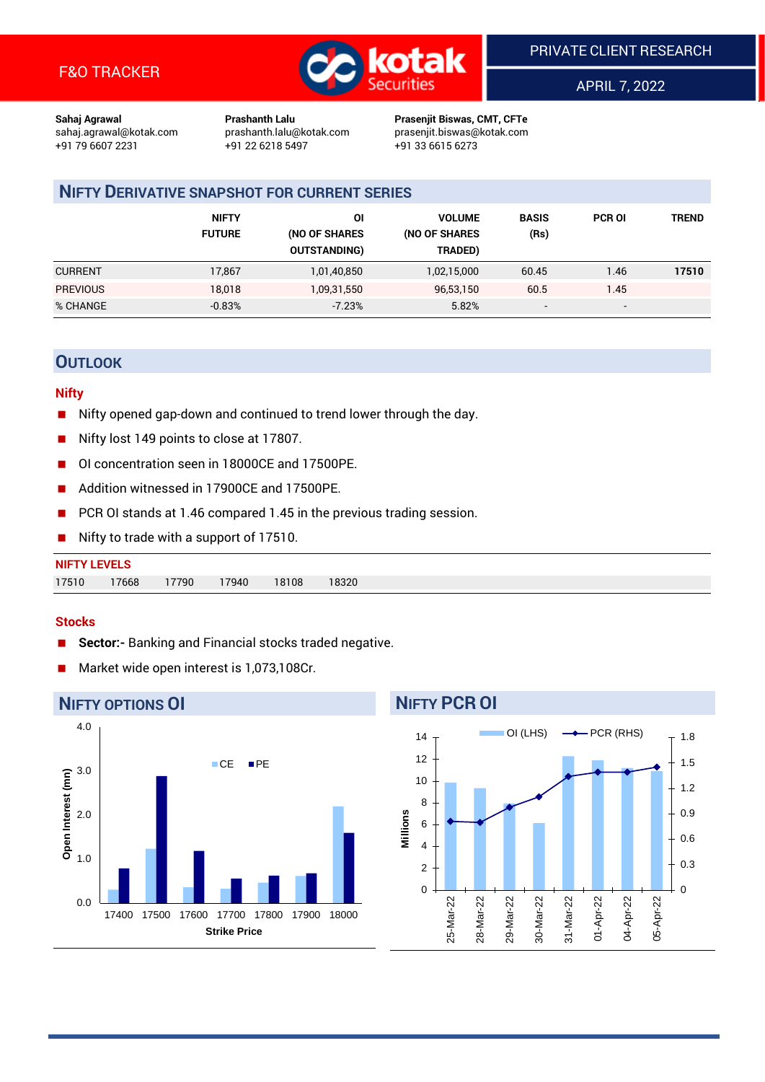

APRIL 7, 2022

**Sahaj Agrawal Prashanth Lalu Prasenjit Biswas, CMT, CFTe** +91 22 6218 5497 +91 33 6615 6273

sahaj.agrawal@kotak.com [prashanth.lalu@kotak.com](mailto:prashanth.lalu@kotak.com) prasenjit.biswas@kotak.com

# **NIFTY DERIVATIVE SNAPSHOT FOR CURRENT SERIES**

|                 | <b>NIFTY</b><br><b>FUTURE</b> | ΟI<br>(NO OF SHARES<br><b>OUTSTANDING)</b> | <b>VOLUME</b><br>(NO OF SHARES<br>TRADED) | <b>BASIS</b><br>(Rs)     | <b>PCR OI</b> | TREND |
|-----------------|-------------------------------|--------------------------------------------|-------------------------------------------|--------------------------|---------------|-------|
| <b>CURRENT</b>  | 17,867                        | 1,01,40,850                                | 1,02,15,000                               | 60.45                    | 1.46          | 17510 |
| <b>PREVIOUS</b> | 18,018                        | 1,09,31,550                                | 96,53,150                                 | 60.5                     | 1.45          |       |
| % CHANGE        | $-0.83%$                      | $-7.23%$                                   | 5.82%                                     | $\overline{\phantom{0}}$ | -             |       |

# **OUTLOOK**

### **Nifty**

- Nifty opened gap-down and continued to trend lower through the day.
- Nifty lost 149 points to close at 17807.
- OI concentration seen in 18000CE and 17500PE.
- Addition witnessed in 17900CE and 17500PE.
- PCR OI stands at 1.46 compared 1.45 in the previous trading session.
- Nifty to trade with a support of 17510.

| <b>NIFTY LEVELS</b> |       |       |       |       |       |
|---------------------|-------|-------|-------|-------|-------|
| 17510               | 17668 | 17790 | 17940 | 18108 | 18320 |

#### **Stocks**

- **Sector:-** Banking and Financial stocks traded negative.
- Market wide open interest is 1,073,108Cr.

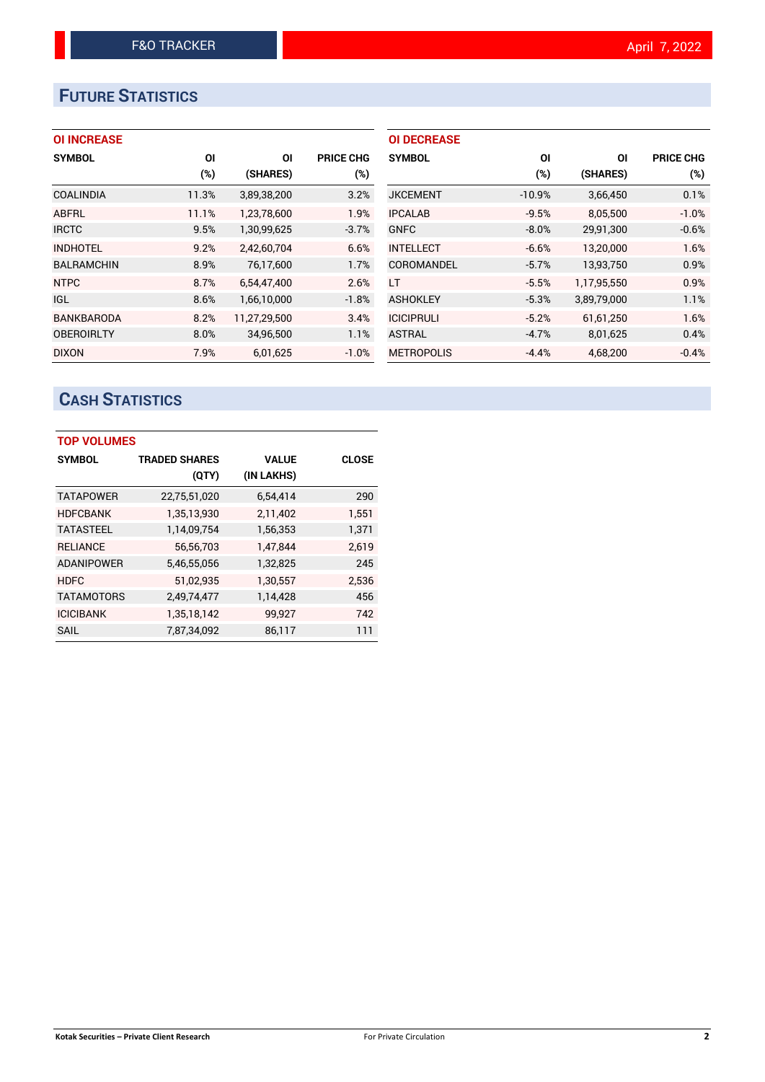# **FUTURE STATISTICS**

|  |  | <b>OI INCREASE</b> |
|--|--|--------------------|
|  |  |                    |

| <b>SYMBOL</b>     | ΟI    | ΟI           | <b>PRICE CHG</b> |
|-------------------|-------|--------------|------------------|
|                   | (%)   | (SHARES)     | (%)              |
| <b>COALINDIA</b>  | 11.3% | 3,89,38,200  | 3.2%             |
| ABFRL             | 11.1% | 1,23,78,600  | 1.9%             |
| <b>IRCTC</b>      | 9.5%  | 1,30,99,625  | $-3.7%$          |
| <b>INDHOTEL</b>   | 9.2%  | 2,42,60,704  | 6.6%             |
| <b>BALRAMCHIN</b> | 8.9%  | 76,17,600    | 1.7%             |
| <b>NTPC</b>       | 8.7%  | 6.54.47.400  | 2.6%             |
| <b>IGL</b>        | 8.6%  | 1,66,10,000  | $-1.8%$          |
| <b>BANKBARODA</b> | 8.2%  | 11,27,29,500 | 3.4%             |
| <b>OBEROIRLTY</b> | 8.0%  | 34,96,500    | 1.1%             |
| <b>DIXON</b>      | 7.9%  | 6,01,625     | $-1.0%$          |

| <b>OI DECREASE</b> |          |             |                  |
|--------------------|----------|-------------|------------------|
| <b>SYMBOL</b>      | ΟI       | ΟI          | <b>PRICE CHG</b> |
|                    | $(\%)$   | (SHARES)    | $(\%)$           |
| <b>JKCEMENT</b>    | $-10.9%$ | 3,66,450    | 0.1%             |
| <b>IPCALAB</b>     | $-9.5%$  | 8,05,500    | $-1.0%$          |
| <b>GNFC</b>        | $-8.0\%$ | 29,91,300   | $-0.6%$          |
| <b>INTELLECT</b>   | $-6.6%$  | 13,20,000   | 1.6%             |
| COROMANDEL         | $-5.7%$  | 13,93,750   | 0.9%             |
| LT.                | $-5.5%$  | 1,17,95,550 | 0.9%             |
| <b>ASHOKLEY</b>    | $-5.3%$  | 3,89,79,000 | 1.1%             |
| <b>ICICIPRULI</b>  | $-5.2%$  | 61,61,250   | 1.6%             |
| <b>ASTRAL</b>      | $-4.7%$  | 8,01,625    | 0.4%             |
| <b>METROPOLIS</b>  | $-4.4%$  | 4,68,200    | $-0.4%$          |

# **CASH STATISTICS**

| <b>TOP VOLUMES</b> |                      |              |              |  |  |  |  |
|--------------------|----------------------|--------------|--------------|--|--|--|--|
| <b>SYMBOL</b>      | <b>TRADED SHARES</b> | <b>VALUE</b> | <b>CLOSE</b> |  |  |  |  |
|                    | (QTY)                | (IN LAKHS)   |              |  |  |  |  |
| <b>TATAPOWER</b>   | 22,75,51,020         | 6,54,414     | 290          |  |  |  |  |
| <b>HDFCBANK</b>    | 1,35,13,930          | 2,11,402     | 1,551        |  |  |  |  |
| <b>TATASTEEL</b>   | 1,14,09,754          | 1,56,353     | 1,371        |  |  |  |  |
| <b>RELIANCE</b>    | 56,56,703            | 1,47,844     | 2.619        |  |  |  |  |
| <b>ADANIPOWER</b>  | 5,46,55,056          | 1,32,825     | 245          |  |  |  |  |
| <b>HDFC</b>        | 51,02,935            | 1,30,557     | 2,536        |  |  |  |  |
| <b>TATAMOTORS</b>  | 2,49,74,477          | 1,14,428     | 456          |  |  |  |  |
| <b>ICICIBANK</b>   | 1,35,18,142          | 99,927       | 742          |  |  |  |  |
| SAIL               | 7,87,34,092          | 86,117       | 111          |  |  |  |  |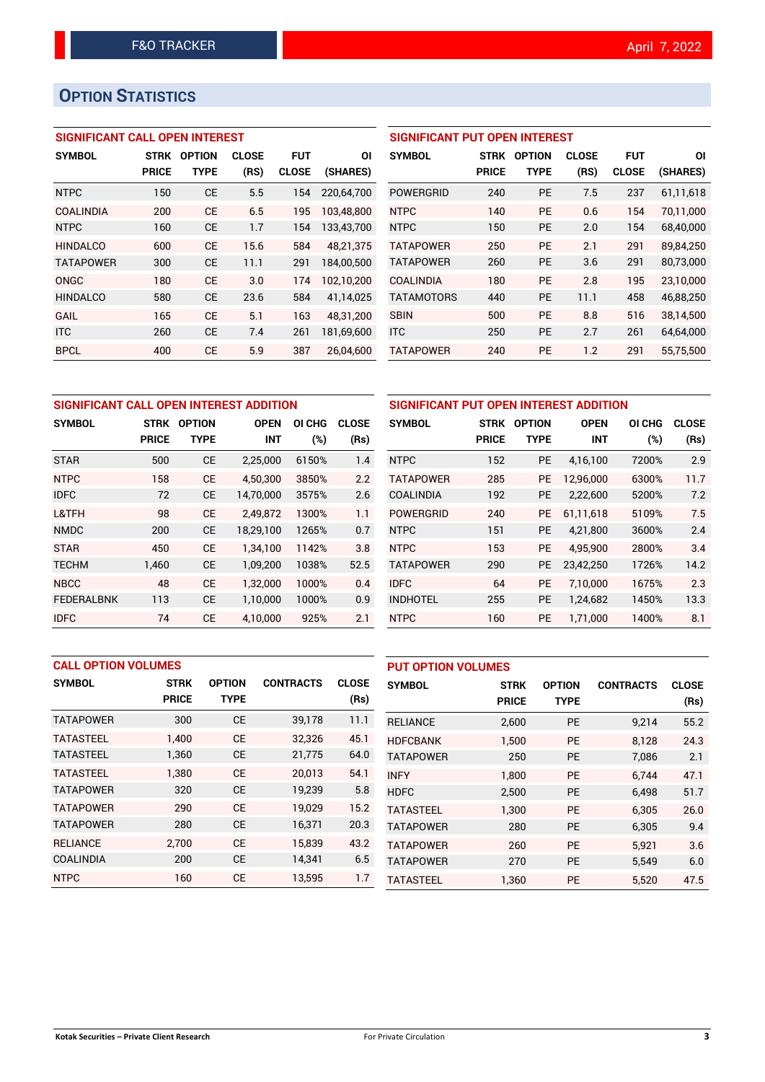# **OPTION STATISTICS**

# **SIGNIFICANT CALL OPEN INTEREST**

| <b>SYMBOL</b>    | <b>STRK</b>  | <b>OPTION</b> | <b>CLOSE</b> | <b>FUT</b>   | ΟI         |
|------------------|--------------|---------------|--------------|--------------|------------|
|                  | <b>PRICE</b> | <b>TYPE</b>   | (RS)         | <b>CLOSE</b> | (SHARES)   |
| <b>NTPC</b>      | 150          | <b>CE</b>     | 5.5          | 154          | 220,64,700 |
| COALINDIA        | 200          | CF            | 6.5          | 195          | 103,48,800 |
| <b>NTPC</b>      | 160          | CE            | 1.7          | 154          | 133,43,700 |
| <b>HINDALCO</b>  | 600          | CE            | 15.6         | 584          | 48.21.375  |
| <b>TATAPOWER</b> | 300          | CE            | 11.1         | 291          | 184,00,500 |
| ONGC             | 180          | CE            | 3.0          | 174          | 102,10,200 |
| <b>HINDALCO</b>  | 580          | СE            | 23.6         | 584          | 41,14,025  |
| GAIL             | 165          | <b>CE</b>     | 5.1          | 163          | 48,31,200  |
| <b>ITC</b>       | 260          | CE            | 7.4          | 261          | 181,69,600 |
| BPCL             | 400          | CE            | 5.9          | 387          | 26,04,600  |

| <b>SIGNIFICANT PUT OPEN INTEREST</b> |             |               |              |              |           |  |  |
|--------------------------------------|-------------|---------------|--------------|--------------|-----------|--|--|
| <b>SYMBOL</b>                        | <b>STRK</b> | <b>OPTION</b> | <b>CLOSE</b> | <b>FUT</b>   | ΟI        |  |  |
|                                      | PRICE       | <b>TYPE</b>   | (RS)         | <b>CLOSE</b> | (SHARES)  |  |  |
| POWERGRID                            | 240         | <b>PE</b>     | 7.5          | 237          | 61,11,618 |  |  |
| <b>NTPC</b>                          | 140         | <b>PE</b>     | 0.6          | 154          | 70,11,000 |  |  |
| <b>NTPC</b>                          | 150         | <b>PE</b>     | 2.0          | 154          | 68,40,000 |  |  |
| <b>TATAPOWER</b>                     | 250         | <b>PE</b>     | 2.1          | 291          | 89,84,250 |  |  |
| <b>TATAPOWER</b>                     | 260         | <b>PE</b>     | 3.6          | 291          | 80,73,000 |  |  |
| <b>COALINDIA</b>                     | 180         | PF            | 2.8          | 195          | 23,10,000 |  |  |
| <b>TATAMOTORS</b>                    | 440         | <b>PE</b>     | 11.1         | 458          | 46,88,250 |  |  |
| <b>SBIN</b>                          | 500         | <b>PE</b>     | 8.8          | 516          | 38,14,500 |  |  |
| <b>ITC</b>                           | 250         | <b>PE</b>     | 2.7          | 261          | 64,64,000 |  |  |
| <b>TATAPOWER</b>                     | 240         | PF            | 1.2          | 291          | 55.75.500 |  |  |

| SIGNIFICANT CALL OPEN INTEREST ADDITION |              |               |             |        |              |  |  |  |
|-----------------------------------------|--------------|---------------|-------------|--------|--------------|--|--|--|
| <b>SYMBOL</b>                           | <b>STRK</b>  | <b>OPTION</b> | <b>OPEN</b> | OI CHG | <b>CLOSE</b> |  |  |  |
|                                         | <b>PRICE</b> | TYPE          | INT         | $(\%)$ | (Rs)         |  |  |  |
| STAR                                    | 500          | <b>CE</b>     | 2,25,000    | 6150%  | 1.4          |  |  |  |
| <b>NTPC</b>                             | 158          | <b>CE</b>     | 4,50,300    | 3850%  | 2.2          |  |  |  |
| <b>IDFC</b>                             | 72           | <b>CE</b>     | 14,70,000   | 3575%  | 2.6          |  |  |  |
| L&TFH                                   | 98           | <b>CE</b>     | 2.49.872    | 1300%  | 1.1          |  |  |  |
| <b>NMDC</b>                             | 200          | CЕ            | 18,29,100   | 1265%  | 0.7          |  |  |  |
| <b>STAR</b>                             | 450          | <b>CE</b>     | 1,34,100    | 1142%  | 3.8          |  |  |  |
| <b>TECHM</b>                            | 1,460        | <b>CE</b>     | 1,09,200    | 1038%  | 52.5         |  |  |  |
| <b>NBCC</b>                             | 48           | <b>CE</b>     | 1.32.000    | 1000%  | 0.4          |  |  |  |
| <b>FEDERALBNK</b>                       | 113          | CЕ            | 1,10,000    | 1000%  | 0.9          |  |  |  |
| <b>IDFC</b>                             | 74           | <b>CE</b>     | 4.10.000    | 925%   | 2.1          |  |  |  |

| SIGNIFICANT PUT OPEN INTEREST ADDITION |                                             |           |           |              |      |  |  |  |
|----------------------------------------|---------------------------------------------|-----------|-----------|--------------|------|--|--|--|
| <b>SYMBOL</b>                          | <b>OPTION</b><br><b>OPEN</b><br><b>STRK</b> |           | OI CHG    | <b>CLOSE</b> |      |  |  |  |
|                                        | <b>PRICE</b>                                | TYPE      | INT       | $(\%)$       | (Rs) |  |  |  |
| <b>NTPC</b>                            | 152                                         | <b>PE</b> | 4,16,100  | 7200%        | 2.9  |  |  |  |
| <b>TATAPOWER</b>                       | 285                                         | <b>PE</b> | 12,96,000 | 6300%        | 11.7 |  |  |  |
| <b>COALINDIA</b>                       | 192                                         | PE        | 2,22,600  | 5200%        | 7.2  |  |  |  |
| <b>POWERGRID</b>                       | 240                                         | PE        | 61,11,618 | 5109%        | 7.5  |  |  |  |
| <b>NTPC</b>                            | 151                                         | <b>PE</b> | 4,21,800  | 3600%        | 2.4  |  |  |  |
| <b>NTPC</b>                            | 153                                         | <b>PE</b> | 4,95,900  | 2800%        | 3.4  |  |  |  |
| <b>TATAPOWER</b>                       | 290                                         | <b>PE</b> | 23,42,250 | 1726%        | 14.2 |  |  |  |
| <b>IDFC</b>                            | 64                                          | <b>PE</b> | 7,10,000  | 1675%        | 2.3  |  |  |  |
| <b>INDHOTEL</b>                        | 255                                         | <b>PE</b> | 1,24,682  | 1450%        | 13.3 |  |  |  |
| <b>NTPC</b>                            | 160                                         | <b>PE</b> | 1,71,000  | 1400%        | 8.1  |  |  |  |

| <b>CALL OPTION VOLUMES</b> |                             |                              |                  | <b>PUT OPTION VOLUMES</b> |                  |                             |                              |                  |                      |
|----------------------------|-----------------------------|------------------------------|------------------|---------------------------|------------------|-----------------------------|------------------------------|------------------|----------------------|
| <b>SYMBOL</b>              | <b>STRK</b><br><b>PRICE</b> | <b>OPTION</b><br><b>TYPE</b> | <b>CONTRACTS</b> | <b>CLOSE</b><br>(Rs)      | <b>SYMBOL</b>    | <b>STRK</b><br><b>PRICE</b> | <b>OPTION</b><br><b>TYPE</b> | <b>CONTRACTS</b> | <b>CLOSE</b><br>(Rs) |
|                            |                             |                              |                  |                           |                  |                             |                              |                  |                      |
| <b>TATAPOWER</b>           | 300                         | <b>CE</b>                    | 39,178           | 11.1                      | <b>RELIANCE</b>  | 2,600                       | <b>PE</b>                    | 9,214            | 55.2                 |
| <b>TATASTEEL</b>           | 1.400                       | <b>CE</b>                    | 32,326           | 45.1                      | <b>HDFCBANK</b>  | 1,500                       | <b>PE</b>                    | 8.128            | 24.3                 |
| <b>TATASTEEL</b>           | 1,360                       | <b>CE</b>                    | 21,775           | 64.0                      | <b>TATAPOWER</b> | 250                         | <b>PE</b>                    | 7,086            | 2.1                  |
| <b>TATASTEEL</b>           | 1.380                       | <b>CE</b>                    | 20.013           | 54.1                      | <b>INFY</b>      | 1.800                       | <b>PE</b>                    | 6.744            | 47.1                 |
| <b>TATAPOWER</b>           | 320                         | <b>CE</b>                    | 19,239           | 5.8                       | <b>HDFC</b>      | 2.500                       | <b>PE</b>                    | 6.498            | 51.7                 |
| <b>TATAPOWER</b>           | 290                         | <b>CE</b>                    | 19.029           | 15.2                      | <b>TATASTEEL</b> | 1.300                       | <b>PE</b>                    | 6.305            | 26.0                 |
| <b>TATAPOWER</b>           | 280                         | <b>CE</b>                    | 16,371           | 20.3                      | <b>TATAPOWER</b> | 280                         | <b>PE</b>                    | 6,305            | 9.4                  |
| <b>RELIANCE</b>            | 2.700                       | <b>CE</b>                    | 15.839           | 43.2                      | <b>TATAPOWER</b> | 260                         | <b>PE</b>                    | 5,921            | 3.6                  |
| <b>COALINDIA</b>           | 200                         | <b>CE</b>                    | 14,341           | 6.5                       | <b>TATAPOWER</b> | 270                         | <b>PE</b>                    | 5,549            | 6.0                  |
| <b>NTPC</b>                | 160                         | <b>CE</b>                    | 13.595           | 1.7                       | <b>TATASTEEL</b> | 1.360                       | <b>PE</b>                    | 5.520            | 47.5                 |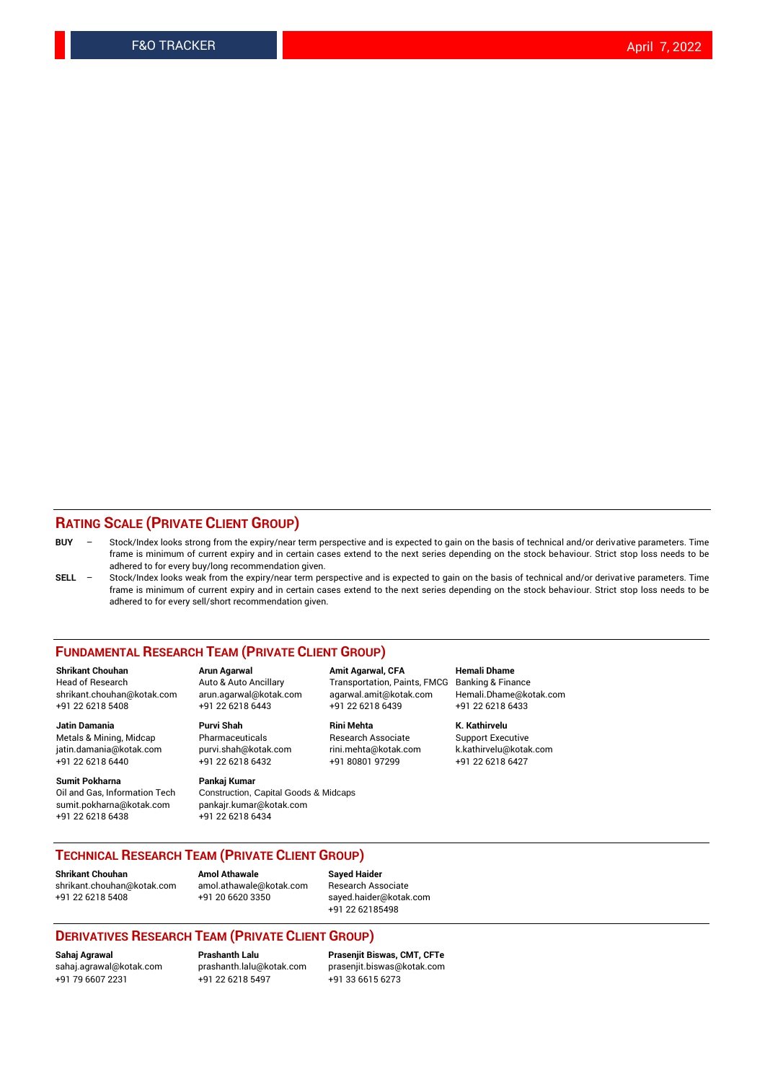## **RATING SCALE (PRIVATE CLIENT GROUP)**

- **BUY**  Stock/Index looks strong from the expiry/near term perspective and is expected to gain on the basis of technical and/or derivative parameters. Time frame is minimum of current expiry and in certain cases extend to the next series depending on the stock behaviour. Strict stop loss needs to be adhered to for every buy/long recommendation given.
- **SELL** Stock/Index looks weak from the expiry/near term perspective and is expected to gain on the basis of technical and/or derivative parameters. Time frame is minimum of current expiry and in certain cases extend to the next series depending on the stock behaviour. Strict stop loss needs to be adhered to for every sell/short recommendation given.

#### **FUNDAMENTAL RESEARCH TEAM (PRIVATE CLIENT GROUP)**

**Shrikant Chouhan Arun Agarwal Amit Agarwal, CFA Hemali Dhame** +91 22 6218 5408 +91 22 6218 6443 +91 22 6218 6439 +91 22 6218 6433

jatin.damania@kotak.com +91 22 6218 6440 +91 22 6218 6432 +91 80801 97299 +91 22 6218 6427

**Sumit Pokharna** Pankaj Kumar<br>Oil and Gas, Information Tech Construction, sumit.pokharna@kotak.com pankajr.kumar@kotak.com +91 22 6218 6438 +91 22 6218 6434

**Jatin Damania Purvi Shah Rini Mehta K. Kathirvelu**

Construction, Capital Goods & Midcaps

Transportation, Paints, FMCG Banking & Finance shrikant.chouhan@kotak.com arun.agarwal@kotak.com agarwal.amit@kotak.com Hemali.Dhame@kotak.com

Metals & Mining, Midcap Pharmaceuticals Research Associate Support Executive<br>
jatin.damania@kotak.com purvi.shah@kotak.com rini.mehta@kotak.com k.kathirvelu@kotak.com

## **TECHNICAL RESEARCH TEAM (PRIVATE CLIENT GROUP)**

**Shrikant Chouhan Amol Athawale Sayed Haider** [shrikant.chouhan@kotak.com](mailto:shrikant.chouhan@kotak.com) [amol.athawale@kotak.com](mailto:amol.athawale@kotak.com) Research Associate +91 22 6218 5408 +91 20 6620 3350 [sayed.haider@kotak.com](mailto:sayed.haider@kotak.com)

+91 22 62185498

#### **DERIVATIVES RESEARCH TEAM (PRIVATE CLIENT GROUP)**

+91 79 6607 2231 +91 22 6218 5497 +91 33 6615 6273

**Sahaj Agrawal Prashanth Lalu Prasenjit Biswas, CMT, CFTe** [sahaj.agrawal@kotak.com](mailto:sahaj.agrawal@kotak.com) [prashanth.lalu@kotak.com](mailto:prashanth.lalu@kotak.com) [prasenjit.biswas@kotak.com](mailto:prasenjit.biswas@kotak.com)